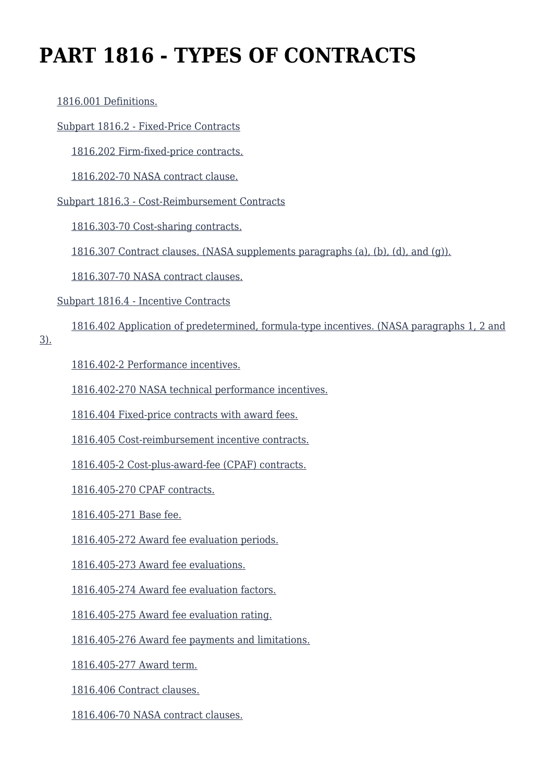# **PART 1816 - TYPES OF CONTRACTS**

#### [1816.001 Definitions.](https://login.acquisition.gov/%5Brp:link:nfs-part-1816%5D#Section_1816_001_T48_6041815011)

#### [Subpart 1816.2 - Fixed-Price Contracts](https://login.acquisition.gov/%5Brp:link:nfs-part-1816%5D#Subpart_1816_2_T48_60418151)

[1816.202 Firm-fixed-price contracts.](https://login.acquisition.gov/%5Brp:link:nfs-part-1816%5D#Section_1816_202_T48_6041815111)

[1816.202-70 NASA contract clause.](https://login.acquisition.gov/%5Brp:link:nfs-part-1816%5D#Section_1816_202_70_T48_6041815112)

[Subpart 1816.3 - Cost-Reimbursement Contracts](https://login.acquisition.gov/%5Brp:link:nfs-part-1816%5D#Subpart_1816_3_T48_60418152)

[1816.303-70 Cost-sharing contracts.](https://login.acquisition.gov/%5Brp:link:nfs-part-1816%5D#Section_1816_303_70_T48_6041815211)

[1816.307 Contract clauses. \(NASA supplements paragraphs \(a\), \(b\), \(d\), and \(g\)\).](https://login.acquisition.gov/%5Brp:link:nfs-part-1816%5D#Section_1816_307_T48_6041815212)

[1816.307-70 NASA contract clauses.](https://login.acquisition.gov/%5Brp:link:nfs-part-1816%5D#Section_1816_307_70_T48_6041815213)

[Subpart 1816.4 - Incentive Contracts](https://login.acquisition.gov/%5Brp:link:nfs-part-1816%5D#Subpart_1816_4_T48_60418153)

[1816.402 Application of predetermined, formula-type incentives. \(NASA paragraphs 1, 2 and](https://login.acquisition.gov/%5Brp:link:nfs-part-1816%5D#Section_1816_402_T48_6041815311)

[3\).](https://login.acquisition.gov/%5Brp:link:nfs-part-1816%5D#Section_1816_402_T48_6041815311)

[1816.402-2 Performance incentives.](https://login.acquisition.gov/%5Brp:link:nfs-part-1816%5D#Section_1816_402_2_T48_6041815312)

[1816.402-270 NASA technical performance incentives.](https://login.acquisition.gov/%5Brp:link:nfs-part-1816%5D#Section_1816_402_270_T48_6041815313)

[1816.404 Fixed-price contracts with award fees.](https://login.acquisition.gov/%5Brp:link:nfs-part-1816%5D#Section_1816_404_T48_6041815314)

[1816.405 Cost-reimbursement incentive contracts.](https://login.acquisition.gov/%5Brp:link:nfs-part-1816%5D#Section_1816_405_T48_6041815315)

[1816.405-2 Cost-plus-award-fee \(CPAF\) contracts.](https://login.acquisition.gov/%5Brp:link:nfs-part-1816%5D#Section_1816_405_2_T48_6041815316)

[1816.405-270 CPAF contracts.](https://login.acquisition.gov/%5Brp:link:nfs-part-1816%5D#Section_1816_405_270_T48_6041815317)

[1816.405-271 Base fee.](https://login.acquisition.gov/%5Brp:link:nfs-part-1816%5D#Section_1816_405_271_T48_6041815318)

[1816.405-272 Award fee evaluation periods.](https://login.acquisition.gov/%5Brp:link:nfs-part-1816%5D#Section_1816_405_272_T48_6041815319)

[1816.405-273 Award fee evaluations.](https://login.acquisition.gov/%5Brp:link:nfs-part-1816%5D#Section_1816_405_273_T48_60418153110)

[1816.405-274 Award fee evaluation factors.](https://login.acquisition.gov/%5Brp:link:nfs-part-1816%5D#Section_1816_405_274_T48_60418153111)

[1816.405-275 Award fee evaluation rating.](https://login.acquisition.gov/%5Brp:link:nfs-part-1816%5D#Section_1816_405_275_T48_60418153112)

[1816.405-276 Award fee payments and limitations.](https://login.acquisition.gov/%5Brp:link:nfs-part-1816%5D#Section_1816_405_276_T48_60418153113)

[1816.405-277 Award term.](https://login.acquisition.gov/%5Brp:link:nfs-part-1816%5D#Section_1816_405_277_T48_60418153114)

[1816.406 Contract clauses.](https://login.acquisition.gov/%5Brp:link:nfs-part-1816%5D#Section_1816_406_T48_60418153115)

[1816.406-70 NASA contract clauses.](https://login.acquisition.gov/%5Brp:link:nfs-part-1816%5D#Section_1816_406_70_T48_60418153116)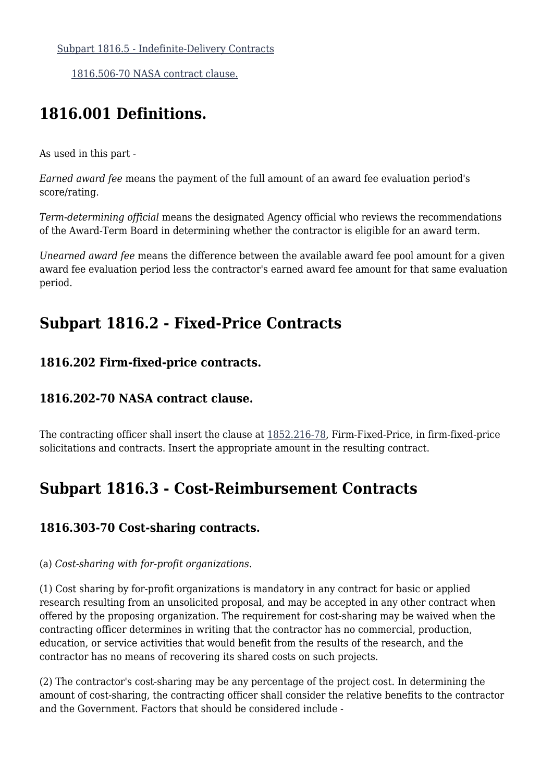[1816.506-70 NASA contract clause.](https://login.acquisition.gov/%5Brp:link:nfs-part-1816%5D#Section_1816_506_70_T48_6041815411)

# **1816.001 Definitions.**

As used in this part -

*Earned award fee* means the payment of the full amount of an award fee evaluation period's score/rating.

*Term-determining official* means the designated Agency official who reviews the recommendations of the Award-Term Board in determining whether the contractor is eligible for an award term.

*Unearned award fee* means the difference between the available award fee pool amount for a given award fee evaluation period less the contractor's earned award fee amount for that same evaluation period.

# **Subpart 1816.2 - Fixed-Price Contracts**

#### **1816.202 Firm-fixed-price contracts.**

#### **1816.202-70 NASA contract clause.**

The contracting officer shall insert the clause at [1852.216-78,](https://login.acquisition.gov/%5Brp:link:nfs-part-1852%5D#Section_1852_216_78_T48_60423441127) Firm-Fixed-Price, in firm-fixed-price solicitations and contracts. Insert the appropriate amount in the resulting contract.

# **Subpart 1816.3 - Cost-Reimbursement Contracts**

### **1816.303-70 Cost-sharing contracts.**

#### (a) *Cost-sharing with for-profit organizations.*

(1) Cost sharing by for-profit organizations is mandatory in any contract for basic or applied research resulting from an unsolicited proposal, and may be accepted in any other contract when offered by the proposing organization. The requirement for cost-sharing may be waived when the contracting officer determines in writing that the contractor has no commercial, production, education, or service activities that would benefit from the results of the research, and the contractor has no means of recovering its shared costs on such projects.

(2) The contractor's cost-sharing may be any percentage of the project cost. In determining the amount of cost-sharing, the contracting officer shall consider the relative benefits to the contractor and the Government. Factors that should be considered include -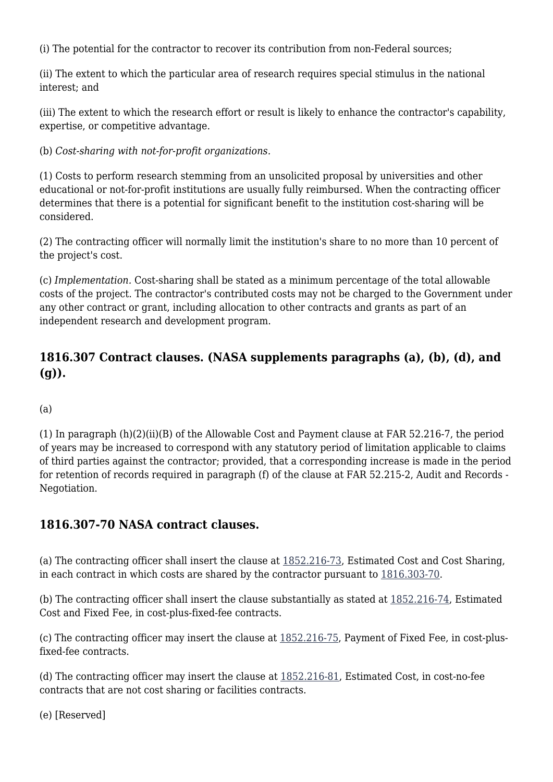(i) The potential for the contractor to recover its contribution from non-Federal sources;

(ii) The extent to which the particular area of research requires special stimulus in the national interest; and

(iii) The extent to which the research effort or result is likely to enhance the contractor's capability, expertise, or competitive advantage.

(b) *Cost-sharing with not-for-profit organizations.*

(1) Costs to perform research stemming from an unsolicited proposal by universities and other educational or not-for-profit institutions are usually fully reimbursed. When the contracting officer determines that there is a potential for significant benefit to the institution cost-sharing will be considered.

(2) The contracting officer will normally limit the institution's share to no more than 10 percent of the project's cost.

(c) *Implementation.* Cost-sharing shall be stated as a minimum percentage of the total allowable costs of the project. The contractor's contributed costs may not be charged to the Government under any other contract or grant, including allocation to other contracts and grants as part of an independent research and development program.

### **1816.307 Contract clauses. (NASA supplements paragraphs (a), (b), (d), and (g)).**

(a)

(1) In paragraph (h)(2)(ii)(B) of the Allowable Cost and Payment clause at FAR 52.216-7, the period of years may be increased to correspond with any statutory period of limitation applicable to claims of third parties against the contractor; provided, that a corresponding increase is made in the period for retention of records required in paragraph (f) of the clause at FAR 52.215-2, Audit and Records - Negotiation.

#### **1816.307-70 NASA contract clauses.**

(a) The contracting officer shall insert the clause at [1852.216-73,](https://login.acquisition.gov/%5Brp:link:nfs-part-1852%5D#Section_1852_216_73_T48_60423441122) Estimated Cost and Cost Sharing, in each contract in which costs are shared by the contractor pursuant to [1816.303-70.](https://login.acquisition.gov/%5Brp:link:nfs-part-1816%5D#Section_1816_303_70_T48_6041815211)

(b) The contracting officer shall insert the clause substantially as stated at [1852.216-74,](https://login.acquisition.gov/%5Brp:link:nfs-part-1852%5D#Section_1852_216_74_T48_60423441123) Estimated Cost and Fixed Fee, in cost-plus-fixed-fee contracts.

(c) The contracting officer may insert the clause at [1852.216-75,](https://login.acquisition.gov/%5Brp:link:nfs-part-1852%5D#Section_1852_216_75_T48_60423441124) Payment of Fixed Fee, in cost-plusfixed-fee contracts.

(d) The contracting officer may insert the clause at [1852.216-81](https://login.acquisition.gov/%5Brp:link:nfs-part-1852%5D#Section_1852_216_81_T48_60423441129), Estimated Cost, in cost-no-fee contracts that are not cost sharing or facilities contracts.

(e) [Reserved]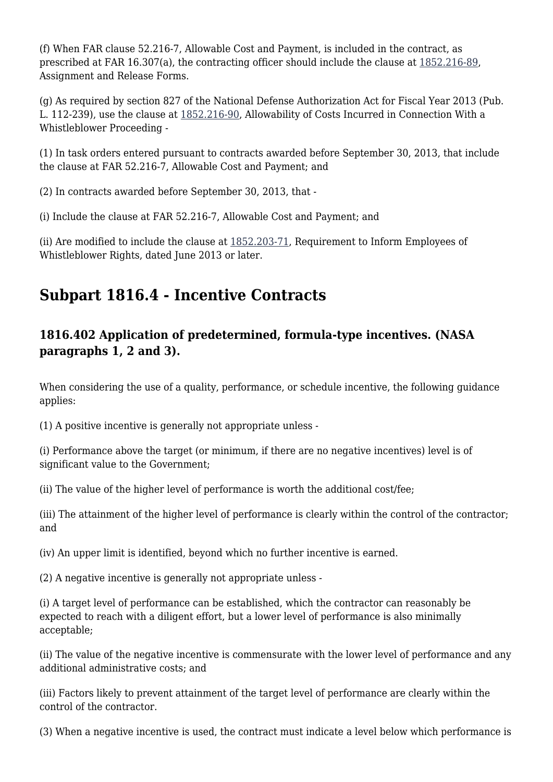(f) When FAR clause 52.216-7, Allowable Cost and Payment, is included in the contract, as prescribed at FAR 16.307(a), the contracting officer should include the clause at [1852.216-89,](https://login.acquisition.gov/%5Brp:link:nfs-part-1852%5D#Section_1852_216_89_T48_60423441135) Assignment and Release Forms.

(g) As required by section 827 of the National Defense Authorization Act for Fiscal Year 2013 (Pub. L. 112-239), use the clause at [1852.216-90,](https://login.acquisition.gov/%5Brp:link:nfs-part-1852%5D#Section_1852_216_90_T48_60423441136) Allowability of Costs Incurred in Connection With a Whistleblower Proceeding -

(1) In task orders entered pursuant to contracts awarded before September 30, 2013, that include the clause at FAR 52.216-7, Allowable Cost and Payment; and

(2) In contracts awarded before September 30, 2013, that -

(i) Include the clause at FAR 52.216-7, Allowable Cost and Payment; and

(ii) Are modified to include the clause at [1852.203-71](https://login.acquisition.gov/%5Brp:link:nfs-part-1852%5D#Section_1852_203_71_T48_6042344112), Requirement to Inform Employees of Whistleblower Rights, dated June 2013 or later.

# **Subpart 1816.4 - Incentive Contracts**

### **1816.402 Application of predetermined, formula-type incentives. (NASA paragraphs 1, 2 and 3).**

When considering the use of a quality, performance, or schedule incentive, the following guidance applies:

(1) A positive incentive is generally not appropriate unless -

(i) Performance above the target (or minimum, if there are no negative incentives) level is of significant value to the Government;

(ii) The value of the higher level of performance is worth the additional cost/fee;

(iii) The attainment of the higher level of performance is clearly within the control of the contractor; and

(iv) An upper limit is identified, beyond which no further incentive is earned.

(2) A negative incentive is generally not appropriate unless -

(i) A target level of performance can be established, which the contractor can reasonably be expected to reach with a diligent effort, but a lower level of performance is also minimally acceptable;

(ii) The value of the negative incentive is commensurate with the lower level of performance and any additional administrative costs; and

(iii) Factors likely to prevent attainment of the target level of performance are clearly within the control of the contractor.

(3) When a negative incentive is used, the contract must indicate a level below which performance is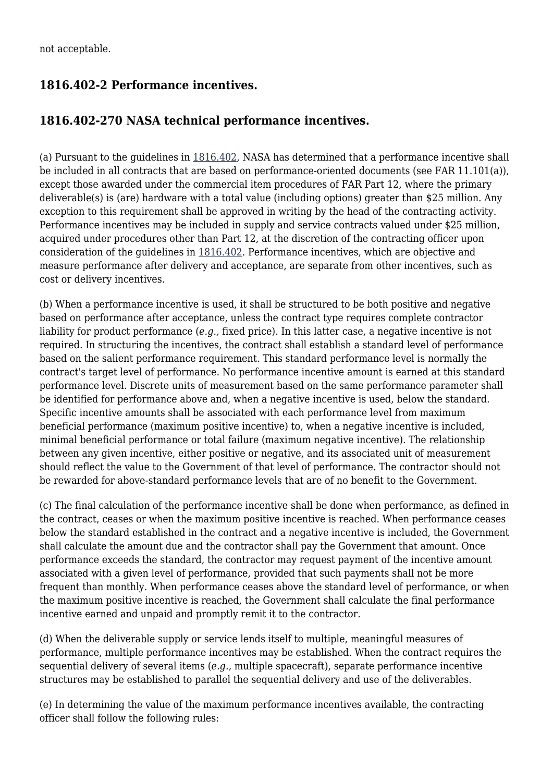### **1816.402-2 Performance incentives.**

#### **1816.402-270 NASA technical performance incentives.**

(a) Pursuant to the guidelines in [1816.402](https://login.acquisition.gov/%5Brp:link:nfs-part-1816%5D#Section_1816_402_T48_6041815311), NASA has determined that a performance incentive shall be included in all contracts that are based on performance-oriented documents (see FAR 11.101(a)), except those awarded under the commercial item procedures of FAR Part 12, where the primary deliverable(s) is (are) hardware with a total value (including options) greater than \$25 million. Any exception to this requirement shall be approved in writing by the head of the contracting activity. Performance incentives may be included in supply and service contracts valued under \$25 million, acquired under procedures other than Part 12, at the discretion of the contracting officer upon consideration of the guidelines in [1816.402.](https://login.acquisition.gov/%5Brp:link:nfs-part-1816%5D#Section_1816_402_T48_6041815311) Performance incentives, which are objective and measure performance after delivery and acceptance, are separate from other incentives, such as cost or delivery incentives.

(b) When a performance incentive is used, it shall be structured to be both positive and negative based on performance after acceptance, unless the contract type requires complete contractor liability for product performance (*e.g.,* fixed price). In this latter case, a negative incentive is not required. In structuring the incentives, the contract shall establish a standard level of performance based on the salient performance requirement. This standard performance level is normally the contract's target level of performance. No performance incentive amount is earned at this standard performance level. Discrete units of measurement based on the same performance parameter shall be identified for performance above and, when a negative incentive is used, below the standard. Specific incentive amounts shall be associated with each performance level from maximum beneficial performance (maximum positive incentive) to, when a negative incentive is included, minimal beneficial performance or total failure (maximum negative incentive). The relationship between any given incentive, either positive or negative, and its associated unit of measurement should reflect the value to the Government of that level of performance. The contractor should not be rewarded for above-standard performance levels that are of no benefit to the Government.

(c) The final calculation of the performance incentive shall be done when performance, as defined in the contract, ceases or when the maximum positive incentive is reached. When performance ceases below the standard established in the contract and a negative incentive is included, the Government shall calculate the amount due and the contractor shall pay the Government that amount. Once performance exceeds the standard, the contractor may request payment of the incentive amount associated with a given level of performance, provided that such payments shall not be more frequent than monthly. When performance ceases above the standard level of performance, or when the maximum positive incentive is reached, the Government shall calculate the final performance incentive earned and unpaid and promptly remit it to the contractor.

(d) When the deliverable supply or service lends itself to multiple, meaningful measures of performance, multiple performance incentives may be established. When the contract requires the sequential delivery of several items (*e.g.,* multiple spacecraft), separate performance incentive structures may be established to parallel the sequential delivery and use of the deliverables.

(e) In determining the value of the maximum performance incentives available, the contracting officer shall follow the following rules: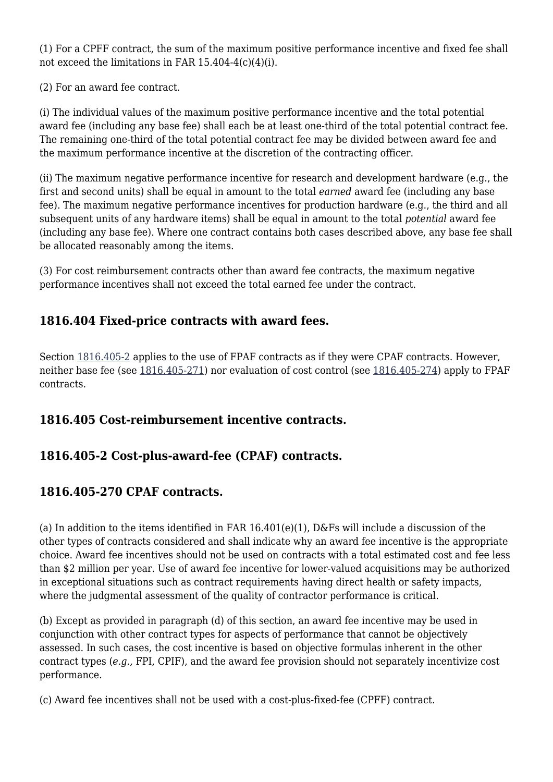(1) For a CPFF contract, the sum of the maximum positive performance incentive and fixed fee shall not exceed the limitations in FAR 15.404-4(c)(4)(i).

(2) For an award fee contract.

(i) The individual values of the maximum positive performance incentive and the total potential award fee (including any base fee) shall each be at least one-third of the total potential contract fee. The remaining one-third of the total potential contract fee may be divided between award fee and the maximum performance incentive at the discretion of the contracting officer.

(ii) The maximum negative performance incentive for research and development hardware (e.g., the first and second units) shall be equal in amount to the total *earned* award fee (including any base fee). The maximum negative performance incentives for production hardware (e.g., the third and all subsequent units of any hardware items) shall be equal in amount to the total *potential* award fee (including any base fee). Where one contract contains both cases described above, any base fee shall be allocated reasonably among the items.

(3) For cost reimbursement contracts other than award fee contracts, the maximum negative performance incentives shall not exceed the total earned fee under the contract.

### **1816.404 Fixed-price contracts with award fees.**

Section [1816.405-2](https://login.acquisition.gov/%5Brp:link:nfs-part-1816%5D#Section_1816_405_2_T48_6041815316) applies to the use of FPAF contracts as if they were CPAF contracts. However, neither base fee (see [1816.405-271](https://login.acquisition.gov/%5Brp:link:nfs-part-1816%5D#Section_1816_405_271_T48_6041815318)) nor evaluation of cost control (see [1816.405-274](https://login.acquisition.gov/%5Brp:link:nfs-part-1816%5D#Section_1816_405_274_T48_60418153111)) apply to FPAF contracts.

### **1816.405 Cost-reimbursement incentive contracts.**

### **1816.405-2 Cost-plus-award-fee (CPAF) contracts.**

### **1816.405-270 CPAF contracts.**

(a) In addition to the items identified in FAR 16.401(e)(1), D&Fs will include a discussion of the other types of contracts considered and shall indicate why an award fee incentive is the appropriate choice. Award fee incentives should not be used on contracts with a total estimated cost and fee less than \$2 million per year. Use of award fee incentive for lower-valued acquisitions may be authorized in exceptional situations such as contract requirements having direct health or safety impacts, where the judgmental assessment of the quality of contractor performance is critical.

(b) Except as provided in paragraph (d) of this section, an award fee incentive may be used in conjunction with other contract types for aspects of performance that cannot be objectively assessed. In such cases, the cost incentive is based on objective formulas inherent in the other contract types (*e.g.,* FPI, CPIF), and the award fee provision should not separately incentivize cost performance.

(c) Award fee incentives shall not be used with a cost-plus-fixed-fee (CPFF) contract.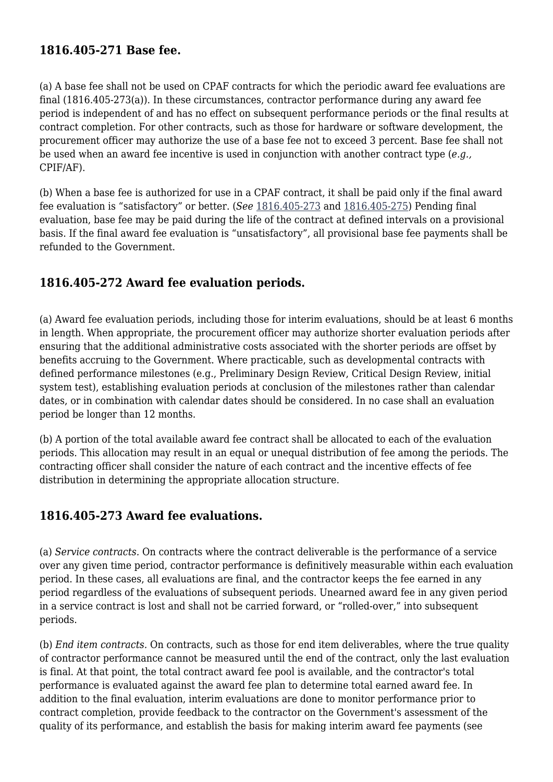#### **1816.405-271 Base fee.**

(a) A base fee shall not be used on CPAF contracts for which the periodic award fee evaluations are final (1816.405-273(a)). In these circumstances, contractor performance during any award fee period is independent of and has no effect on subsequent performance periods or the final results at contract completion. For other contracts, such as those for hardware or software development, the procurement officer may authorize the use of a base fee not to exceed 3 percent. Base fee shall not be used when an award fee incentive is used in conjunction with another contract type (*e.g.,* CPIF/AF).

(b) When a base fee is authorized for use in a CPAF contract, it shall be paid only if the final award fee evaluation is "satisfactory" or better. (*See* [1816.405-273](https://login.acquisition.gov/%5Brp:link:nfs-part-1816%5D#Section_1816_405_273_T48_60418153110) and [1816.405-275\)](https://login.acquisition.gov/%5Brp:link:nfs-part-1816%5D#Section_1816_405_275_T48_60418153112) Pending final evaluation, base fee may be paid during the life of the contract at defined intervals on a provisional basis. If the final award fee evaluation is "unsatisfactory", all provisional base fee payments shall be refunded to the Government.

#### **1816.405-272 Award fee evaluation periods.**

(a) Award fee evaluation periods, including those for interim evaluations, should be at least 6 months in length. When appropriate, the procurement officer may authorize shorter evaluation periods after ensuring that the additional administrative costs associated with the shorter periods are offset by benefits accruing to the Government. Where practicable, such as developmental contracts with defined performance milestones (e.g., Preliminary Design Review, Critical Design Review, initial system test), establishing evaluation periods at conclusion of the milestones rather than calendar dates, or in combination with calendar dates should be considered. In no case shall an evaluation period be longer than 12 months.

(b) A portion of the total available award fee contract shall be allocated to each of the evaluation periods. This allocation may result in an equal or unequal distribution of fee among the periods. The contracting officer shall consider the nature of each contract and the incentive effects of fee distribution in determining the appropriate allocation structure.

#### **1816.405-273 Award fee evaluations.**

(a) *Service contracts.* On contracts where the contract deliverable is the performance of a service over any given time period, contractor performance is definitively measurable within each evaluation period. In these cases, all evaluations are final, and the contractor keeps the fee earned in any period regardless of the evaluations of subsequent periods. Unearned award fee in any given period in a service contract is lost and shall not be carried forward, or "rolled-over," into subsequent periods.

(b) *End item contracts.* On contracts, such as those for end item deliverables, where the true quality of contractor performance cannot be measured until the end of the contract, only the last evaluation is final. At that point, the total contract award fee pool is available, and the contractor's total performance is evaluated against the award fee plan to determine total earned award fee. In addition to the final evaluation, interim evaluations are done to monitor performance prior to contract completion, provide feedback to the contractor on the Government's assessment of the quality of its performance, and establish the basis for making interim award fee payments (see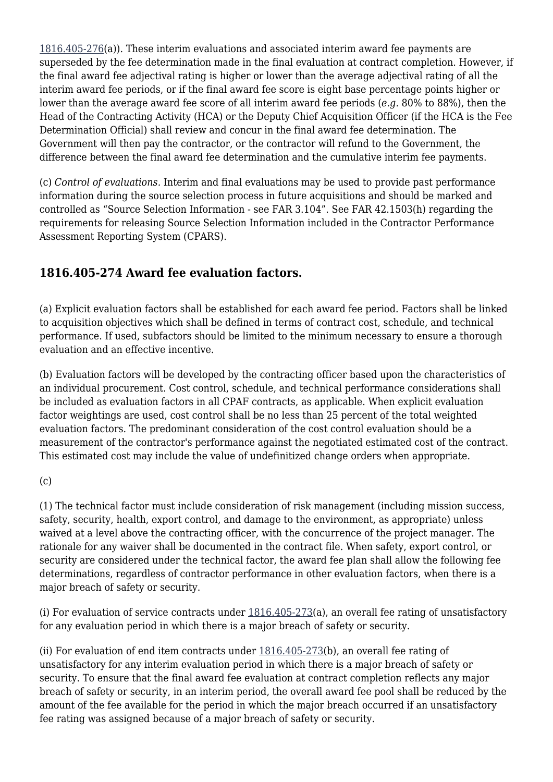[1816.405-276\(](https://login.acquisition.gov/%5Brp:link:nfs-part-1816%5D#Section_1816_405_276_T48_60418153113)a)). These interim evaluations and associated interim award fee payments are superseded by the fee determination made in the final evaluation at contract completion. However, if the final award fee adjectival rating is higher or lower than the average adjectival rating of all the interim award fee periods, or if the final award fee score is eight base percentage points higher or lower than the average award fee score of all interim award fee periods (*e.g.* 80% to 88%), then the Head of the Contracting Activity (HCA) or the Deputy Chief Acquisition Officer (if the HCA is the Fee Determination Official) shall review and concur in the final award fee determination. The Government will then pay the contractor, or the contractor will refund to the Government, the difference between the final award fee determination and the cumulative interim fee payments.

(c) *Control of evaluations.* Interim and final evaluations may be used to provide past performance information during the source selection process in future acquisitions and should be marked and controlled as "Source Selection Information - see FAR 3.104". See FAR 42.1503(h) regarding the requirements for releasing Source Selection Information included in the Contractor Performance Assessment Reporting System (CPARS).

### **1816.405-274 Award fee evaluation factors.**

(a) Explicit evaluation factors shall be established for each award fee period. Factors shall be linked to acquisition objectives which shall be defined in terms of contract cost, schedule, and technical performance. If used, subfactors should be limited to the minimum necessary to ensure a thorough evaluation and an effective incentive.

(b) Evaluation factors will be developed by the contracting officer based upon the characteristics of an individual procurement. Cost control, schedule, and technical performance considerations shall be included as evaluation factors in all CPAF contracts, as applicable. When explicit evaluation factor weightings are used, cost control shall be no less than 25 percent of the total weighted evaluation factors. The predominant consideration of the cost control evaluation should be a measurement of the contractor's performance against the negotiated estimated cost of the contract. This estimated cost may include the value of undefinitized change orders when appropriate.

(c)

(1) The technical factor must include consideration of risk management (including mission success, safety, security, health, export control, and damage to the environment, as appropriate) unless waived at a level above the contracting officer, with the concurrence of the project manager. The rationale for any waiver shall be documented in the contract file. When safety, export control, or security are considered under the technical factor, the award fee plan shall allow the following fee determinations, regardless of contractor performance in other evaluation factors, when there is a major breach of safety or security.

(i) For evaluation of service contracts under [1816.405-273\(](https://login.acquisition.gov/%5Brp:link:nfs-part-1816%5D#Section_1816_405_273_T48_60418153110)a), an overall fee rating of unsatisfactory for any evaluation period in which there is a major breach of safety or security.

(ii) For evaluation of end item contracts under [1816.405-273](https://login.acquisition.gov/%5Brp:link:nfs-part-1816%5D#Section_1816_405_273_T48_60418153110)(b), an overall fee rating of unsatisfactory for any interim evaluation period in which there is a major breach of safety or security. To ensure that the final award fee evaluation at contract completion reflects any major breach of safety or security, in an interim period, the overall award fee pool shall be reduced by the amount of the fee available for the period in which the major breach occurred if an unsatisfactory fee rating was assigned because of a major breach of safety or security.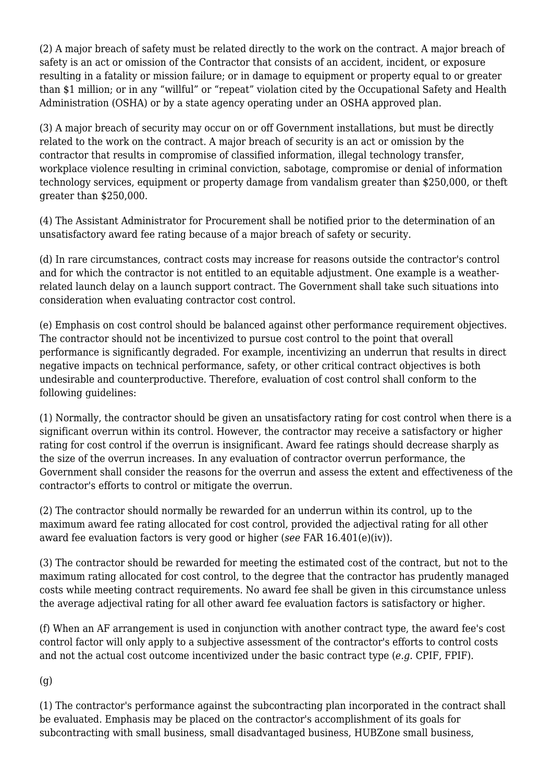(2) A major breach of safety must be related directly to the work on the contract. A major breach of safety is an act or omission of the Contractor that consists of an accident, incident, or exposure resulting in a fatality or mission failure; or in damage to equipment or property equal to or greater than \$1 million; or in any "willful" or "repeat" violation cited by the Occupational Safety and Health Administration (OSHA) or by a state agency operating under an OSHA approved plan.

(3) A major breach of security may occur on or off Government installations, but must be directly related to the work on the contract. A major breach of security is an act or omission by the contractor that results in compromise of classified information, illegal technology transfer, workplace violence resulting in criminal conviction, sabotage, compromise or denial of information technology services, equipment or property damage from vandalism greater than \$250,000, or theft greater than \$250,000.

(4) The Assistant Administrator for Procurement shall be notified prior to the determination of an unsatisfactory award fee rating because of a major breach of safety or security.

(d) In rare circumstances, contract costs may increase for reasons outside the contractor's control and for which the contractor is not entitled to an equitable adjustment. One example is a weatherrelated launch delay on a launch support contract. The Government shall take such situations into consideration when evaluating contractor cost control.

(e) Emphasis on cost control should be balanced against other performance requirement objectives. The contractor should not be incentivized to pursue cost control to the point that overall performance is significantly degraded. For example, incentivizing an underrun that results in direct negative impacts on technical performance, safety, or other critical contract objectives is both undesirable and counterproductive. Therefore, evaluation of cost control shall conform to the following guidelines:

(1) Normally, the contractor should be given an unsatisfactory rating for cost control when there is a significant overrun within its control. However, the contractor may receive a satisfactory or higher rating for cost control if the overrun is insignificant. Award fee ratings should decrease sharply as the size of the overrun increases. In any evaluation of contractor overrun performance, the Government shall consider the reasons for the overrun and assess the extent and effectiveness of the contractor's efforts to control or mitigate the overrun.

(2) The contractor should normally be rewarded for an underrun within its control, up to the maximum award fee rating allocated for cost control, provided the adjectival rating for all other award fee evaluation factors is very good or higher (*see* FAR 16.401(e)(iv)).

(3) The contractor should be rewarded for meeting the estimated cost of the contract, but not to the maximum rating allocated for cost control, to the degree that the contractor has prudently managed costs while meeting contract requirements. No award fee shall be given in this circumstance unless the average adjectival rating for all other award fee evaluation factors is satisfactory or higher.

(f) When an AF arrangement is used in conjunction with another contract type, the award fee's cost control factor will only apply to a subjective assessment of the contractor's efforts to control costs and not the actual cost outcome incentivized under the basic contract type (*e.g.* CPIF, FPIF).

(g)

(1) The contractor's performance against the subcontracting plan incorporated in the contract shall be evaluated. Emphasis may be placed on the contractor's accomplishment of its goals for subcontracting with small business, small disadvantaged business, HUBZone small business,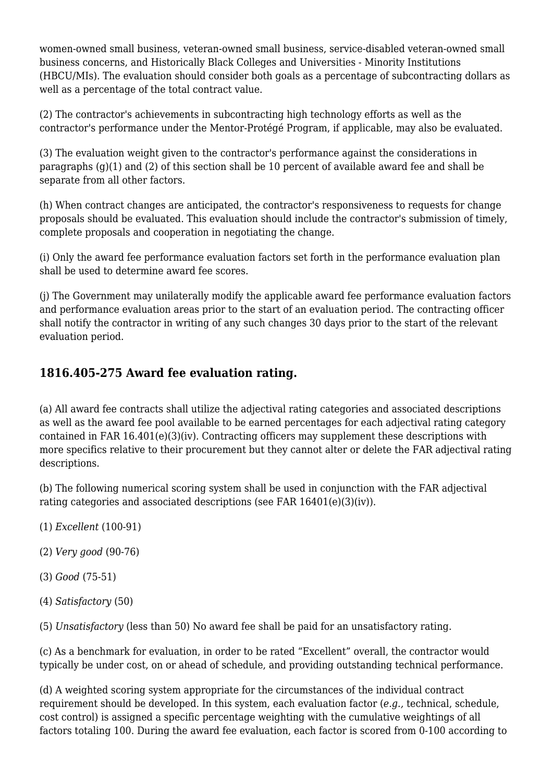women-owned small business, veteran-owned small business, service-disabled veteran-owned small business concerns, and Historically Black Colleges and Universities - Minority Institutions (HBCU/MIs). The evaluation should consider both goals as a percentage of subcontracting dollars as well as a percentage of the total contract value.

(2) The contractor's achievements in subcontracting high technology efforts as well as the contractor's performance under the Mentor-Protégé Program, if applicable, may also be evaluated.

(3) The evaluation weight given to the contractor's performance against the considerations in paragraphs (g)(1) and (2) of this section shall be 10 percent of available award fee and shall be separate from all other factors.

(h) When contract changes are anticipated, the contractor's responsiveness to requests for change proposals should be evaluated. This evaluation should include the contractor's submission of timely, complete proposals and cooperation in negotiating the change.

(i) Only the award fee performance evaluation factors set forth in the performance evaluation plan shall be used to determine award fee scores.

(j) The Government may unilaterally modify the applicable award fee performance evaluation factors and performance evaluation areas prior to the start of an evaluation period. The contracting officer shall notify the contractor in writing of any such changes 30 days prior to the start of the relevant evaluation period.

### **1816.405-275 Award fee evaluation rating.**

(a) All award fee contracts shall utilize the adjectival rating categories and associated descriptions as well as the award fee pool available to be earned percentages for each adjectival rating category contained in FAR 16.401(e)(3)(iv). Contracting officers may supplement these descriptions with more specifics relative to their procurement but they cannot alter or delete the FAR adjectival rating descriptions.

(b) The following numerical scoring system shall be used in conjunction with the FAR adjectival rating categories and associated descriptions (see FAR 16401(e)(3)(iv)).

- (1) *Excellent* (100-91)
- (2) *Very good* (90-76)
- (3) *Good* (75-51)
- (4) *Satisfactory* (50)

(5) *Unsatisfactory* (less than 50) No award fee shall be paid for an unsatisfactory rating.

(c) As a benchmark for evaluation, in order to be rated "Excellent" overall, the contractor would typically be under cost, on or ahead of schedule, and providing outstanding technical performance.

(d) A weighted scoring system appropriate for the circumstances of the individual contract requirement should be developed. In this system, each evaluation factor (*e.g.,* technical, schedule, cost control) is assigned a specific percentage weighting with the cumulative weightings of all factors totaling 100. During the award fee evaluation, each factor is scored from 0-100 according to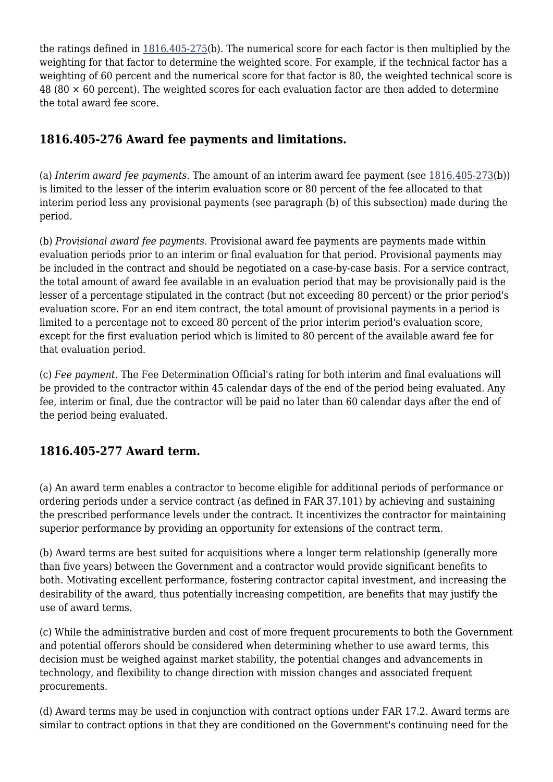the ratings defined in [1816.405-275](https://login.acquisition.gov/%5Brp:link:nfs-part-1816%5D#Section_1816_405_275_T48_60418153112)(b). The numerical score for each factor is then multiplied by the weighting for that factor to determine the weighted score. For example, if the technical factor has a weighting of 60 percent and the numerical score for that factor is 80, the weighted technical score is 48 (80  $\times$  60 percent). The weighted scores for each evaluation factor are then added to determine the total award fee score.

### **1816.405-276 Award fee payments and limitations.**

(a) *Interim award fee payments.* The amount of an interim award fee payment (see [1816.405-273](https://login.acquisition.gov/%5Brp:link:nfs-part-1816%5D#Section_1816_405_273_T48_60418153110)(b)) is limited to the lesser of the interim evaluation score or 80 percent of the fee allocated to that interim period less any provisional payments (see paragraph (b) of this subsection) made during the period.

(b) *Provisional award fee payments.* Provisional award fee payments are payments made within evaluation periods prior to an interim or final evaluation for that period. Provisional payments may be included in the contract and should be negotiated on a case-by-case basis. For a service contract, the total amount of award fee available in an evaluation period that may be provisionally paid is the lesser of a percentage stipulated in the contract (but not exceeding 80 percent) or the prior period's evaluation score. For an end item contract, the total amount of provisional payments in a period is limited to a percentage not to exceed 80 percent of the prior interim period's evaluation score, except for the first evaluation period which is limited to 80 percent of the available award fee for that evaluation period.

(c) *Fee payment.* The Fee Determination Official's rating for both interim and final evaluations will be provided to the contractor within 45 calendar days of the end of the period being evaluated. Any fee, interim or final, due the contractor will be paid no later than 60 calendar days after the end of the period being evaluated.

### **1816.405-277 Award term.**

(a) An award term enables a contractor to become eligible for additional periods of performance or ordering periods under a service contract (as defined in FAR 37.101) by achieving and sustaining the prescribed performance levels under the contract. It incentivizes the contractor for maintaining superior performance by providing an opportunity for extensions of the contract term.

(b) Award terms are best suited for acquisitions where a longer term relationship (generally more than five years) between the Government and a contractor would provide significant benefits to both. Motivating excellent performance, fostering contractor capital investment, and increasing the desirability of the award, thus potentially increasing competition, are benefits that may justify the use of award terms.

(c) While the administrative burden and cost of more frequent procurements to both the Government and potential offerors should be considered when determining whether to use award terms, this decision must be weighed against market stability, the potential changes and advancements in technology, and flexibility to change direction with mission changes and associated frequent procurements.

(d) Award terms may be used in conjunction with contract options under FAR 17.2. Award terms are similar to contract options in that they are conditioned on the Government's continuing need for the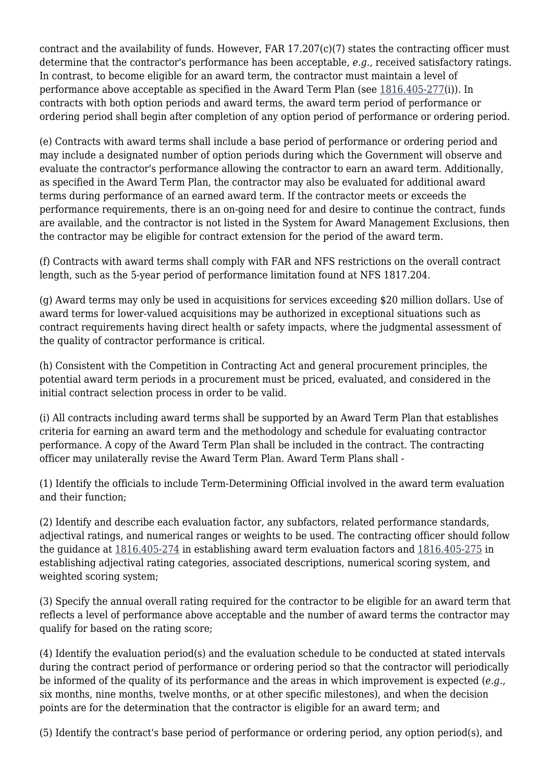contract and the availability of funds. However, FAR 17.207(c)(7) states the contracting officer must determine that the contractor's performance has been acceptable, *e.g.,* received satisfactory ratings. In contrast, to become eligible for an award term, the contractor must maintain a level of performance above acceptable as specified in the Award Term Plan (see [1816.405-277](https://login.acquisition.gov/%5Brp:link:nfs-part-1816%5D#Section_1816_405_277_T48_60418153114)(i)). In contracts with both option periods and award terms, the award term period of performance or ordering period shall begin after completion of any option period of performance or ordering period.

(e) Contracts with award terms shall include a base period of performance or ordering period and may include a designated number of option periods during which the Government will observe and evaluate the contractor's performance allowing the contractor to earn an award term. Additionally, as specified in the Award Term Plan, the contractor may also be evaluated for additional award terms during performance of an earned award term. If the contractor meets or exceeds the performance requirements, there is an on-going need for and desire to continue the contract, funds are available, and the contractor is not listed in the System for Award Management Exclusions, then the contractor may be eligible for contract extension for the period of the award term.

(f) Contracts with award terms shall comply with FAR and NFS restrictions on the overall contract length, such as the 5-year period of performance limitation found at NFS 1817.204.

(g) Award terms may only be used in acquisitions for services exceeding \$20 million dollars. Use of award terms for lower-valued acquisitions may be authorized in exceptional situations such as contract requirements having direct health or safety impacts, where the judgmental assessment of the quality of contractor performance is critical.

(h) Consistent with the Competition in Contracting Act and general procurement principles, the potential award term periods in a procurement must be priced, evaluated, and considered in the initial contract selection process in order to be valid.

(i) All contracts including award terms shall be supported by an Award Term Plan that establishes criteria for earning an award term and the methodology and schedule for evaluating contractor performance. A copy of the Award Term Plan shall be included in the contract. The contracting officer may unilaterally revise the Award Term Plan. Award Term Plans shall -

(1) Identify the officials to include Term-Determining Official involved in the award term evaluation and their function;

(2) Identify and describe each evaluation factor, any subfactors, related performance standards, adjectival ratings, and numerical ranges or weights to be used. The contracting officer should follow the guidance at [1816.405-274](https://login.acquisition.gov/%5Brp:link:nfs-part-1816%5D#Section_1816_405_274_T48_60418153111) in establishing award term evaluation factors and [1816.405-275](https://login.acquisition.gov/%5Brp:link:nfs-part-1816%5D#Section_1816_405_275_T48_60418153112) in establishing adjectival rating categories, associated descriptions, numerical scoring system, and weighted scoring system;

(3) Specify the annual overall rating required for the contractor to be eligible for an award term that reflects a level of performance above acceptable and the number of award terms the contractor may qualify for based on the rating score;

(4) Identify the evaluation period(s) and the evaluation schedule to be conducted at stated intervals during the contract period of performance or ordering period so that the contractor will periodically be informed of the quality of its performance and the areas in which improvement is expected (*e.g.,* six months, nine months, twelve months, or at other specific milestones), and when the decision points are for the determination that the contractor is eligible for an award term; and

(5) Identify the contract's base period of performance or ordering period, any option period(s), and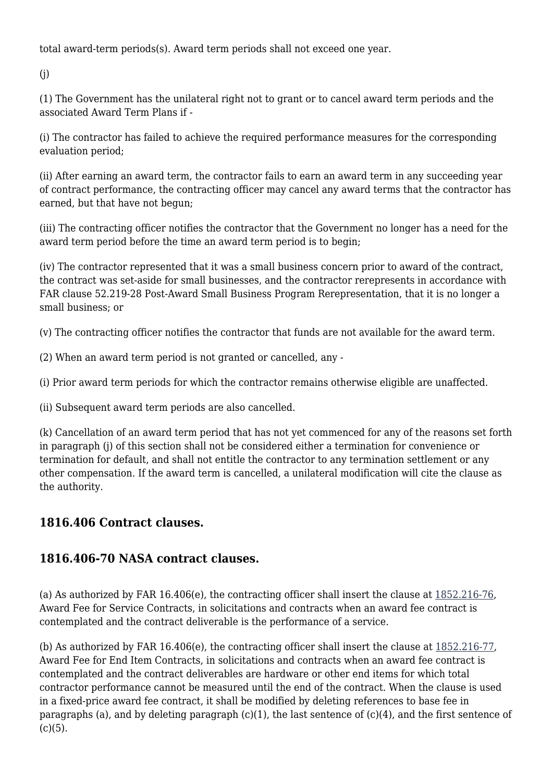total award-term periods(s). Award term periods shall not exceed one year.

(j)

(1) The Government has the unilateral right not to grant or to cancel award term periods and the associated Award Term Plans if -

(i) The contractor has failed to achieve the required performance measures for the corresponding evaluation period;

(ii) After earning an award term, the contractor fails to earn an award term in any succeeding year of contract performance, the contracting officer may cancel any award terms that the contractor has earned, but that have not begun;

(iii) The contracting officer notifies the contractor that the Government no longer has a need for the award term period before the time an award term period is to begin;

(iv) The contractor represented that it was a small business concern prior to award of the contract, the contract was set-aside for small businesses, and the contractor rerepresents in accordance with FAR clause 52.219-28 Post-Award Small Business Program Rerepresentation, that it is no longer a small business; or

(v) The contracting officer notifies the contractor that funds are not available for the award term.

(2) When an award term period is not granted or cancelled, any -

(i) Prior award term periods for which the contractor remains otherwise eligible are unaffected.

(ii) Subsequent award term periods are also cancelled.

(k) Cancellation of an award term period that has not yet commenced for any of the reasons set forth in paragraph (j) of this section shall not be considered either a termination for convenience or termination for default, and shall not entitle the contractor to any termination settlement or any other compensation. If the award term is cancelled, a unilateral modification will cite the clause as the authority.

### **1816.406 Contract clauses.**

### **1816.406-70 NASA contract clauses.**

(a) As authorized by FAR 16.406(e), the contracting officer shall insert the clause at [1852.216-76,](https://login.acquisition.gov/%5Brp:link:nfs-part-1852%5D#Section_1852_216_76_T48_60423441125) Award Fee for Service Contracts, in solicitations and contracts when an award fee contract is contemplated and the contract deliverable is the performance of a service.

(b) As authorized by FAR 16.406(e), the contracting officer shall insert the clause at  $1852.216-77$ , Award Fee for End Item Contracts, in solicitations and contracts when an award fee contract is contemplated and the contract deliverables are hardware or other end items for which total contractor performance cannot be measured until the end of the contract. When the clause is used in a fixed-price award fee contract, it shall be modified by deleting references to base fee in paragraphs (a), and by deleting paragraph  $(c)(1)$ , the last sentence of  $(c)(4)$ , and the first sentence of  $(c)(5)$ .